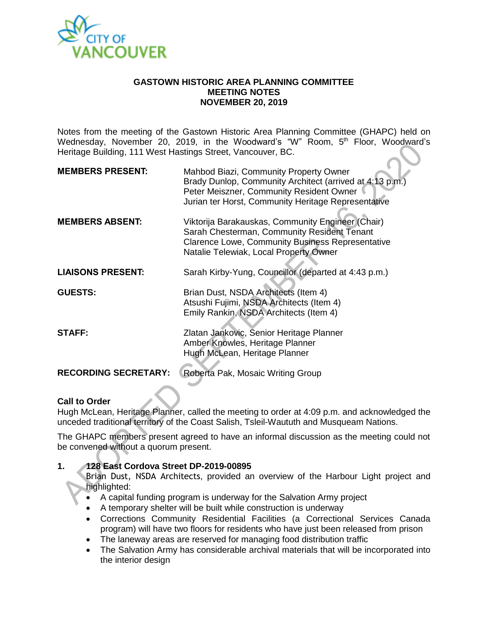

### **GASTOWN HISTORIC AREA PLANNING COMMITTEE MEETING NOTES NOVEMBER 20, 2019**

Notes from the meeting of the Gastown Historic Area Planning Committee (GHAPC) held on Wednesday, November 20, 2019, in the Woodward's "W" Room, 5<sup>th</sup> Floor, Woodward's Heritage Building, 111 West Hastings Street, Vancouver, BC.

| <b>MEMBERS PRESENT:</b>     | Mahbod Biazi, Community Property Owner<br>Brady Dunlop, Community Architect (arrived at 4:13 p.m.)<br>Peter Meiszner, Community Resident Owner<br>Jurian ter Horst, Community Heritage Representative |
|-----------------------------|-------------------------------------------------------------------------------------------------------------------------------------------------------------------------------------------------------|
| <b>MEMBERS ABSENT:</b>      | Viktorija Barakauskas, Community Engineer (Chair)<br>Sarah Chesterman, Community Resident Tenant<br><b>Clarence Lowe, Community Business Representative</b><br>Natalie Telewiak, Local Property Owner |
| <b>LIAISONS PRESENT:</b>    | Sarah Kirby-Yung, Councillor (departed at 4:43 p.m.)                                                                                                                                                  |
| <b>GUESTS:</b>              | Brian Dust, NSDA Architects (Item 4)<br>Atsushi Fujimi, NSDA Architects (Item 4)<br>Emily Rankin, NSDA Architects (Item 4)                                                                            |
| <b>STAFF:</b>               | Zlatan Jankovic, Senior Heritage Planner<br>Amber Knowles, Heritage Planner<br>Hugh McLean, Heritage Planner                                                                                          |
| <b>RECORDING SECRETARY:</b> | Roberta Pak, Mosaic Writing Group                                                                                                                                                                     |

## **Call to Order**

Hugh McLean, Heritage Planner, called the meeting to order at 4:09 p.m. and acknowledged the unceded traditional territory of the Coast Salish, Tsleil-Waututh and Musqueam Nations.

The GHAPC members present agreed to have an informal discussion as the meeting could not be convened without a quorum present.

## **1. 128 East Cordova Street DP-2019-00895**

Brian Dust, NSDA Architects, provided an overview of the Harbour Light project and highlighted:

- A capital funding program is underway for the Salvation Army project
- A temporary shelter will be built while construction is underway
- Corrections Community Residential Facilities (a Correctional Services Canada program) will have two floors for residents who have just been released from prison
- The laneway areas are reserved for managing food distribution traffic
- The Salvation Army has considerable archival materials that will be incorporated into the interior design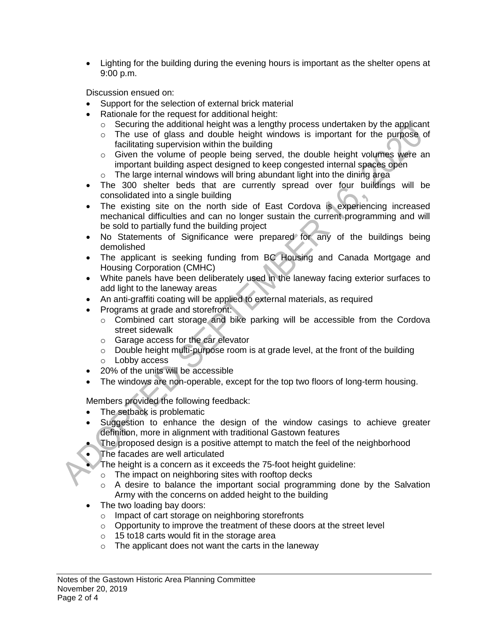Lighting for the building during the evening hours is important as the shelter opens at 9:00 p.m.

Discussion ensued on:

- Support for the selection of external brick material
- Rationale for the request for additional height:
	- $\circ$  Securing the additional height was a lengthy process undertaken by the applicant
	- o The use of glass and double height windows is important for the purpose of facilitating supervision within the building
	- o Given the volume of people being served, the double height volumes were an important building aspect designed to keep congested internal spaces open
	- o The large internal windows will bring abundant light into the dining area
- The 300 shelter beds that are currently spread over four buildings will be consolidated into a single building
- The existing site on the north side of East Cordova is experiencing increased mechanical difficulties and can no longer sustain the current programming and will be sold to partially fund the building project
- No Statements of Significance were prepared for any of the buildings being demolished
- The applicant is seeking funding from BC Housing and Canada Mortgage and Housing Corporation (CMHC)
- White panels have been deliberately used in the laneway facing exterior surfaces to add light to the laneway areas
- An anti-graffiti coating will be applied to external materials, as required
- Programs at grade and storefront:
	- o Combined cart storage and bike parking will be accessible from the Cordova street sidewalk
	- o Garage access for the car elevator
	- o Double height multi-purpose room is at grade level, at the front of the building
	- o Lobby access
- 20% of the units will be accessible
- The windows are non-operable, except for the top two floors of long-term housing.

Members provided the following feedback:

- The setback is problematic
- Suggestion to enhance the design of the window casings to achieve greater definition, more in alignment with traditional Gastown features
- The proposed design is a positive attempt to match the feel of the neighborhood
- The facades are well articulated
	- The height is a concern as it exceeds the 75-foot height guideline:
		- o The impact on neighboring sites with rooftop decks
		- $\circ$  A desire to balance the important social programming done by the Salvation Army with the concerns on added height to the building
- The two loading bay doors:
	- o Impact of cart storage on neighboring storefronts
	- o Opportunity to improve the treatment of these doors at the street level
	- o 15 to18 carts would fit in the storage area
	- $\circ$  The applicant does not want the carts in the laneway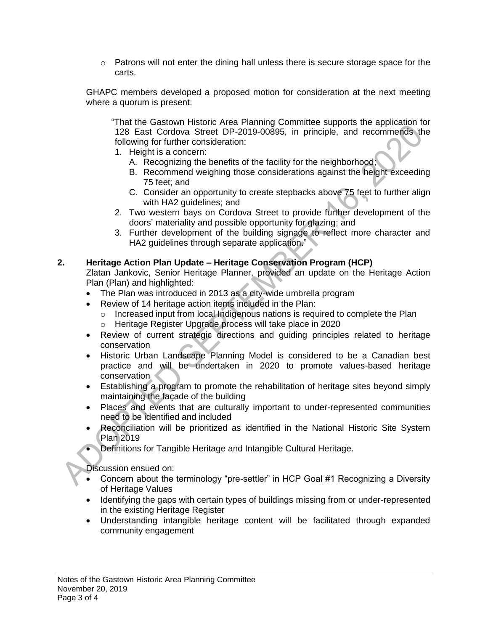$\circ$  Patrons will not enter the dining hall unless there is secure storage space for the carts.

GHAPC members developed a proposed motion for consideration at the next meeting where a quorum is present:

"That the Gastown Historic Area Planning Committee supports the application for 128 East Cordova Street DP-2019-00895, in principle, and recommends the following for further consideration:

- 1. Height is a concern:
	- A. Recognizing the benefits of the facility for the neighborhood;
	- B. Recommend weighing those considerations against the height exceeding 75 feet; and
	- C. Consider an opportunity to create stepbacks above 75 feet to further align with HA2 guidelines; and
- 2. Two western bays on Cordova Street to provide further development of the doors' materiality and possible opportunity for glazing; and
- 3. Further development of the building signage to reflect more character and HA2 guidelines through separate application."

# **2. Heritage Action Plan Update – Heritage Conservation Program (HCP)**

Zlatan Jankovic, Senior Heritage Planner, provided an update on the Heritage Action Plan (Plan) and highlighted:

- The Plan was introduced in 2013 as a city-wide umbrella program
- Review of 14 heritage action items included in the Plan:
	- $\circ$  Increased input from local Indigenous nations is required to complete the Plan
	- o Heritage Register Upgrade process will take place in 2020
- Review of current strategic directions and guiding principles related to heritage conservation
- Historic Urban Landscape Planning Model is considered to be a Canadian best practice and will be undertaken in 2020 to promote values-based heritage conservation
- Establishing a program to promote the rehabilitation of heritage sites beyond simply maintaining the façade of the building
- Places and events that are culturally important to under-represented communities need to be identified and included
- Reconciliation will be prioritized as identified in the National Historic Site System Plan 2019
- Definitions for Tangible Heritage and Intangible Cultural Heritage.

Discussion ensued on:

- Concern about the terminology "pre-settler" in HCP Goal #1 Recognizing a Diversity of Heritage Values
- Identifying the gaps with certain types of buildings missing from or under-represented in the existing Heritage Register
- Understanding intangible heritage content will be facilitated through expanded community engagement